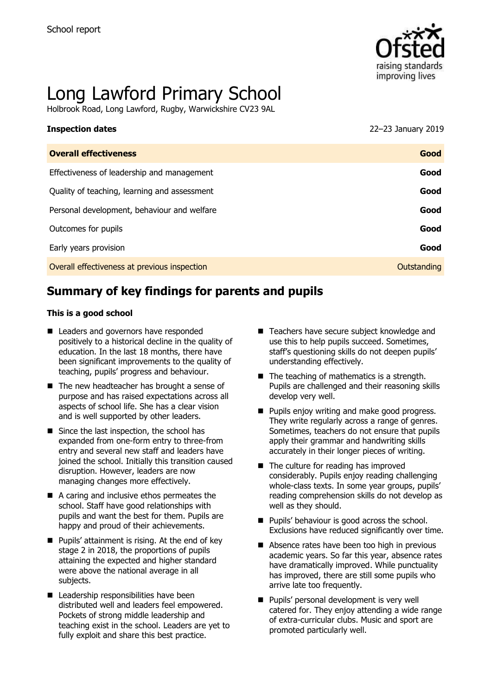

# Long Lawford Primary School

Holbrook Road, Long Lawford, Rugby, Warwickshire CV23 9AL

# **Inspection dates** 22–23 January 2019

| <b>Overall effectiveness</b>                 | Good        |
|----------------------------------------------|-------------|
| Effectiveness of leadership and management   | Good        |
| Quality of teaching, learning and assessment | Good        |
| Personal development, behaviour and welfare  | Good        |
| Outcomes for pupils                          | Good        |
| Early years provision                        | Good        |
| Overall effectiveness at previous inspection | Outstanding |

# **Summary of key findings for parents and pupils**

#### **This is a good school**

- Leaders and governors have responded positively to a historical decline in the quality of education. In the last 18 months, there have been significant improvements to the quality of teaching, pupils' progress and behaviour.
- $\blacksquare$  The new headteacher has brought a sense of purpose and has raised expectations across all aspects of school life. She has a clear vision and is well supported by other leaders.
- Since the last inspection, the school has expanded from one-form entry to three-from entry and several new staff and leaders have joined the school. Initially this transition caused disruption. However, leaders are now managing changes more effectively.
- A caring and inclusive ethos permeates the school. Staff have good relationships with pupils and want the best for them. Pupils are happy and proud of their achievements.
- $\blacksquare$  Pupils' attainment is rising. At the end of key stage 2 in 2018, the proportions of pupils attaining the expected and higher standard were above the national average in all subjects.
- Leadership responsibilities have been distributed well and leaders feel empowered. Pockets of strong middle leadership and teaching exist in the school. Leaders are yet to fully exploit and share this best practice.
- Teachers have secure subject knowledge and use this to help pupils succeed. Sometimes, staff's questioning skills do not deepen pupils' understanding effectively.
- $\blacksquare$  The teaching of mathematics is a strength. Pupils are challenged and their reasoning skills develop very well.
- **Pupils enjoy writing and make good progress.** They write regularly across a range of genres. Sometimes, teachers do not ensure that pupils apply their grammar and handwriting skills accurately in their longer pieces of writing.
- The culture for reading has improved considerably. Pupils enjoy reading challenging whole-class texts. In some year groups, pupils' reading comprehension skills do not develop as well as they should.
- **Pupils' behaviour is good across the school.** Exclusions have reduced significantly over time.
- Absence rates have been too high in previous academic years. So far this year, absence rates have dramatically improved. While punctuality has improved, there are still some pupils who arrive late too frequently.
- **Pupils' personal development is very well** catered for. They enjoy attending a wide range of extra-curricular clubs. Music and sport are promoted particularly well.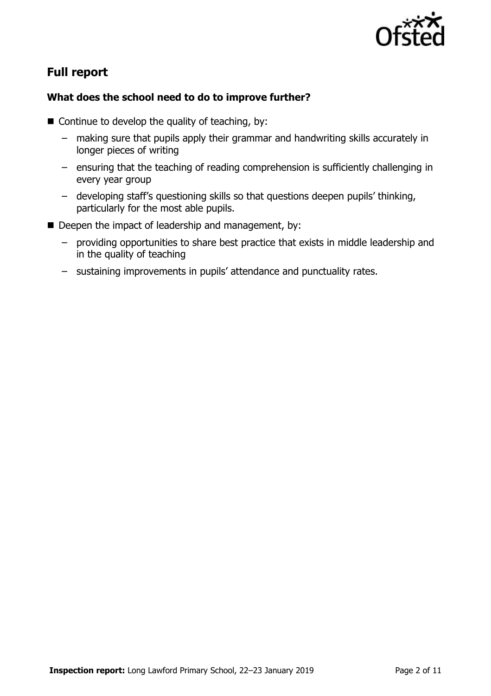

# **Full report**

### **What does the school need to do to improve further?**

- $\blacksquare$  Continue to develop the quality of teaching, by:
	- making sure that pupils apply their grammar and handwriting skills accurately in longer pieces of writing
	- ensuring that the teaching of reading comprehension is sufficiently challenging in every year group
	- developing staff's questioning skills so that questions deepen pupils' thinking, particularly for the most able pupils.
- Deepen the impact of leadership and management, by:
	- providing opportunities to share best practice that exists in middle leadership and in the quality of teaching
	- sustaining improvements in pupils' attendance and punctuality rates.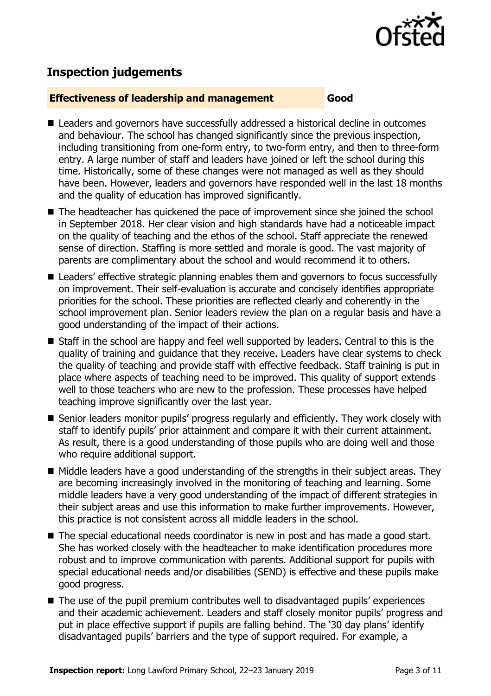

# **Inspection judgements**

#### **Effectiveness of leadership and management Good**

- Leaders and governors have successfully addressed a historical decline in outcomes and behaviour. The school has changed significantly since the previous inspection, including transitioning from one-form entry, to two-form entry, and then to three-form entry. A large number of staff and leaders have joined or left the school during this time. Historically, some of these changes were not managed as well as they should have been. However, leaders and governors have responded well in the last 18 months and the quality of education has improved significantly.
- The headteacher has quickened the pace of improvement since she joined the school in September 2018. Her clear vision and high standards have had a noticeable impact on the quality of teaching and the ethos of the school. Staff appreciate the renewed sense of direction. Staffing is more settled and morale is good. The vast majority of parents are complimentary about the school and would recommend it to others.
- Leaders' effective strategic planning enables them and governors to focus successfully on improvement. Their self-evaluation is accurate and concisely identifies appropriate priorities for the school. These priorities are reflected clearly and coherently in the school improvement plan. Senior leaders review the plan on a regular basis and have a good understanding of the impact of their actions.
- Staff in the school are happy and feel well supported by leaders. Central to this is the quality of training and guidance that they receive. Leaders have clear systems to check the quality of teaching and provide staff with effective feedback. Staff training is put in place where aspects of teaching need to be improved. This quality of support extends well to those teachers who are new to the profession. These processes have helped teaching improve significantly over the last year.
- Senior leaders monitor pupils' progress regularly and efficiently. They work closely with staff to identify pupils' prior attainment and compare it with their current attainment. As result, there is a good understanding of those pupils who are doing well and those who require additional support.
- Middle leaders have a good understanding of the strengths in their subject areas. They are becoming increasingly involved in the monitoring of teaching and learning. Some middle leaders have a very good understanding of the impact of different strategies in their subject areas and use this information to make further improvements. However, this practice is not consistent across all middle leaders in the school.
- The special educational needs coordinator is new in post and has made a good start. She has worked closely with the headteacher to make identification procedures more robust and to improve communication with parents. Additional support for pupils with special educational needs and/or disabilities (SEND) is effective and these pupils make good progress.
- The use of the pupil premium contributes well to disadvantaged pupils' experiences and their academic achievement. Leaders and staff closely monitor pupils' progress and put in place effective support if pupils are falling behind. The '30 day plans' identify disadvantaged pupils' barriers and the type of support required. For example, a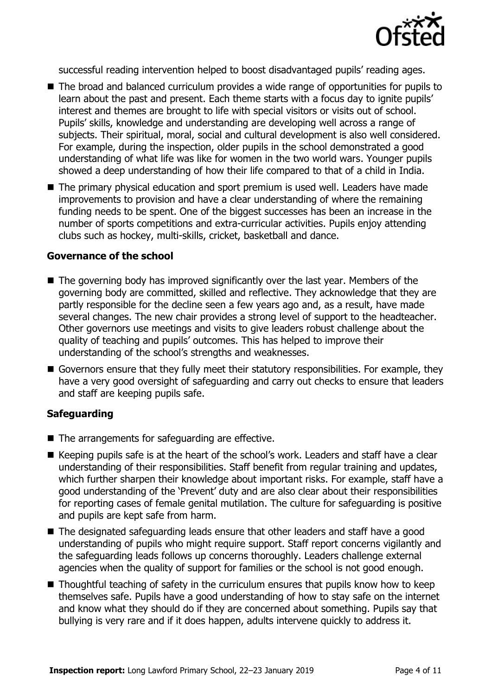

successful reading intervention helped to boost disadvantaged pupils' reading ages.

- The broad and balanced curriculum provides a wide range of opportunities for pupils to learn about the past and present. Each theme starts with a focus day to ignite pupils' interest and themes are brought to life with special visitors or visits out of school. Pupils' skills, knowledge and understanding are developing well across a range of subjects. Their spiritual, moral, social and cultural development is also well considered. For example, during the inspection, older pupils in the school demonstrated a good understanding of what life was like for women in the two world wars. Younger pupils showed a deep understanding of how their life compared to that of a child in India.
- The primary physical education and sport premium is used well. Leaders have made improvements to provision and have a clear understanding of where the remaining funding needs to be spent. One of the biggest successes has been an increase in the number of sports competitions and extra-curricular activities. Pupils enjoy attending clubs such as hockey, multi-skills, cricket, basketball and dance.

#### **Governance of the school**

- The governing body has improved significantly over the last year. Members of the governing body are committed, skilled and reflective. They acknowledge that they are partly responsible for the decline seen a few years ago and, as a result, have made several changes. The new chair provides a strong level of support to the headteacher. Other governors use meetings and visits to give leaders robust challenge about the quality of teaching and pupils' outcomes. This has helped to improve their understanding of the school's strengths and weaknesses.
- Governors ensure that they fully meet their statutory responsibilities. For example, they have a very good oversight of safeguarding and carry out checks to ensure that leaders and staff are keeping pupils safe.

#### **Safeguarding**

- $\blacksquare$  The arrangements for safeguarding are effective.
- Keeping pupils safe is at the heart of the school's work. Leaders and staff have a clear understanding of their responsibilities. Staff benefit from regular training and updates, which further sharpen their knowledge about important risks. For example, staff have a good understanding of the 'Prevent' duty and are also clear about their responsibilities for reporting cases of female genital mutilation. The culture for safeguarding is positive and pupils are kept safe from harm.
- The designated safeguarding leads ensure that other leaders and staff have a good understanding of pupils who might require support. Staff report concerns vigilantly and the safeguarding leads follows up concerns thoroughly. Leaders challenge external agencies when the quality of support for families or the school is not good enough.
- $\blacksquare$  Thoughtful teaching of safety in the curriculum ensures that pupils know how to keep themselves safe. Pupils have a good understanding of how to stay safe on the internet and know what they should do if they are concerned about something. Pupils say that bullying is very rare and if it does happen, adults intervene quickly to address it.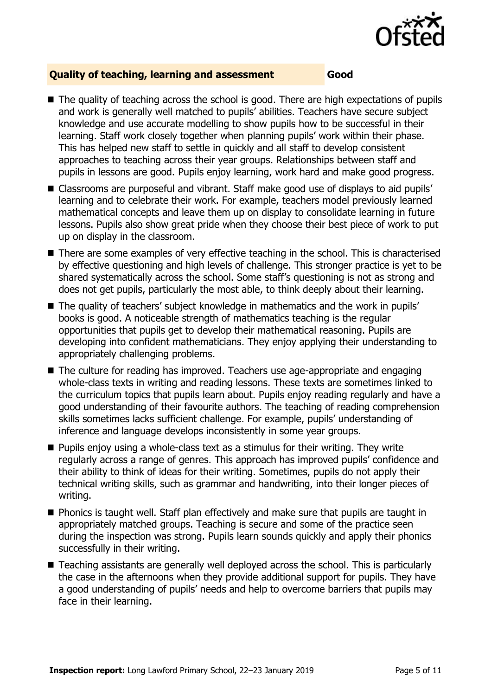

#### **Quality of teaching, learning and assessment Good**

- The quality of teaching across the school is good. There are high expectations of pupils and work is generally well matched to pupils' abilities. Teachers have secure subject knowledge and use accurate modelling to show pupils how to be successful in their learning. Staff work closely together when planning pupils' work within their phase. This has helped new staff to settle in quickly and all staff to develop consistent approaches to teaching across their year groups. Relationships between staff and pupils in lessons are good. Pupils enjoy learning, work hard and make good progress.
- Classrooms are purposeful and vibrant. Staff make good use of displays to aid pupils' learning and to celebrate their work. For example, teachers model previously learned mathematical concepts and leave them up on display to consolidate learning in future lessons. Pupils also show great pride when they choose their best piece of work to put up on display in the classroom.
- There are some examples of very effective teaching in the school. This is characterised by effective questioning and high levels of challenge. This stronger practice is yet to be shared systematically across the school. Some staff's questioning is not as strong and does not get pupils, particularly the most able, to think deeply about their learning.
- The quality of teachers' subject knowledge in mathematics and the work in pupils' books is good. A noticeable strength of mathematics teaching is the regular opportunities that pupils get to develop their mathematical reasoning. Pupils are developing into confident mathematicians. They enjoy applying their understanding to appropriately challenging problems.
- The culture for reading has improved. Teachers use age-appropriate and engaging whole-class texts in writing and reading lessons. These texts are sometimes linked to the curriculum topics that pupils learn about. Pupils enjoy reading regularly and have a good understanding of their favourite authors. The teaching of reading comprehension skills sometimes lacks sufficient challenge. For example, pupils' understanding of inference and language develops inconsistently in some year groups.
- $\blacksquare$  Pupils enjoy using a whole-class text as a stimulus for their writing. They write regularly across a range of genres. This approach has improved pupils' confidence and their ability to think of ideas for their writing. Sometimes, pupils do not apply their technical writing skills, such as grammar and handwriting, into their longer pieces of writing.
- **Phonics is taught well. Staff plan effectively and make sure that pupils are taught in** appropriately matched groups. Teaching is secure and some of the practice seen during the inspection was strong. Pupils learn sounds quickly and apply their phonics successfully in their writing.
- Teaching assistants are generally well deployed across the school. This is particularly the case in the afternoons when they provide additional support for pupils. They have a good understanding of pupils' needs and help to overcome barriers that pupils may face in their learning.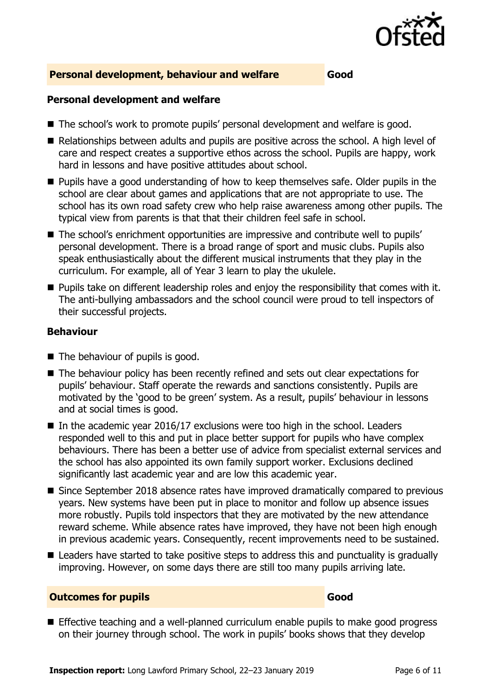

#### **Personal development, behaviour and welfare Good**

#### **Personal development and welfare**

- The school's work to promote pupils' personal development and welfare is good.
- Relationships between adults and pupils are positive across the school. A high level of care and respect creates a supportive ethos across the school. Pupils are happy, work hard in lessons and have positive attitudes about school.
- **Pupils have a good understanding of how to keep themselves safe. Older pupils in the** school are clear about games and applications that are not appropriate to use. The school has its own road safety crew who help raise awareness among other pupils. The typical view from parents is that that their children feel safe in school.
- The school's enrichment opportunities are impressive and contribute well to pupils' personal development. There is a broad range of sport and music clubs. Pupils also speak enthusiastically about the different musical instruments that they play in the curriculum. For example, all of Year 3 learn to play the ukulele.
- **Pupils take on different leadership roles and enjoy the responsibility that comes with it.** The anti-bullying ambassadors and the school council were proud to tell inspectors of their successful projects.

#### **Behaviour**

- The behaviour of pupils is good.
- The behaviour policy has been recently refined and sets out clear expectations for pupils' behaviour. Staff operate the rewards and sanctions consistently. Pupils are motivated by the 'good to be green' system. As a result, pupils' behaviour in lessons and at social times is good.
- In the academic year 2016/17 exclusions were too high in the school. Leaders responded well to this and put in place better support for pupils who have complex behaviours. There has been a better use of advice from specialist external services and the school has also appointed its own family support worker. Exclusions declined significantly last academic year and are low this academic year.
- Since September 2018 absence rates have improved dramatically compared to previous years. New systems have been put in place to monitor and follow up absence issues more robustly. Pupils told inspectors that they are motivated by the new attendance reward scheme. While absence rates have improved, they have not been high enough in previous academic years. Consequently, recent improvements need to be sustained.
- Leaders have started to take positive steps to address this and punctuality is gradually improving. However, on some days there are still too many pupils arriving late.

#### **Outcomes for pupils Good**

**Effective teaching and a well-planned curriculum enable pupils to make good progress** on their journey through school. The work in pupils' books shows that they develop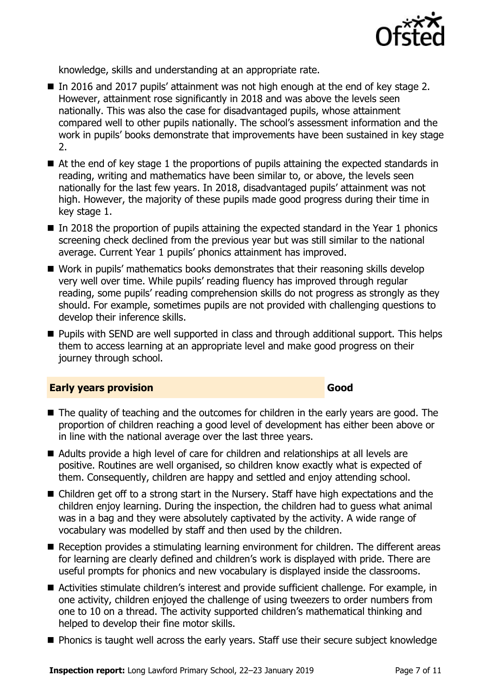

knowledge, skills and understanding at an appropriate rate.

- In 2016 and 2017 pupils' attainment was not high enough at the end of key stage 2. However, attainment rose significantly in 2018 and was above the levels seen nationally. This was also the case for disadvantaged pupils, whose attainment compared well to other pupils nationally. The school's assessment information and the work in pupils' books demonstrate that improvements have been sustained in key stage 2.
- At the end of key stage 1 the proportions of pupils attaining the expected standards in reading, writing and mathematics have been similar to, or above, the levels seen nationally for the last few years. In 2018, disadvantaged pupils' attainment was not high. However, the majority of these pupils made good progress during their time in key stage 1.
- $\blacksquare$  In 2018 the proportion of pupils attaining the expected standard in the Year 1 phonics screening check declined from the previous year but was still similar to the national average. Current Year 1 pupils' phonics attainment has improved.
- Work in pupils' mathematics books demonstrates that their reasoning skills develop very well over time. While pupils' reading fluency has improved through regular reading, some pupils' reading comprehension skills do not progress as strongly as they should. For example, sometimes pupils are not provided with challenging questions to develop their inference skills.
- **Pupils with SEND are well supported in class and through additional support. This helps** them to access learning at an appropriate level and make good progress on their journey through school.

#### **Early years provision Good Good**

- The quality of teaching and the outcomes for children in the early years are good. The proportion of children reaching a good level of development has either been above or in line with the national average over the last three years.
- Adults provide a high level of care for children and relationships at all levels are positive. Routines are well organised, so children know exactly what is expected of them. Consequently, children are happy and settled and enjoy attending school.
- Children get off to a strong start in the Nursery. Staff have high expectations and the children enjoy learning. During the inspection, the children had to guess what animal was in a bag and they were absolutely captivated by the activity. A wide range of vocabulary was modelled by staff and then used by the children.
- Reception provides a stimulating learning environment for children. The different areas for learning are clearly defined and children's work is displayed with pride. There are useful prompts for phonics and new vocabulary is displayed inside the classrooms.
- Activities stimulate children's interest and provide sufficient challenge. For example, in one activity, children enjoyed the challenge of using tweezers to order numbers from one to 10 on a thread. The activity supported children's mathematical thinking and helped to develop their fine motor skills.
- **Phonics is taught well across the early years. Staff use their secure subject knowledge**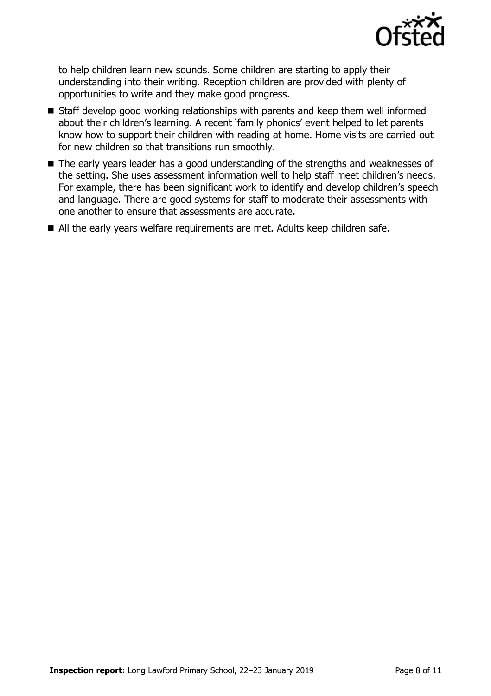

to help children learn new sounds. Some children are starting to apply their understanding into their writing. Reception children are provided with plenty of opportunities to write and they make good progress.

- Staff develop good working relationships with parents and keep them well informed about their children's learning. A recent 'family phonics' event helped to let parents know how to support their children with reading at home. Home visits are carried out for new children so that transitions run smoothly.
- The early years leader has a good understanding of the strengths and weaknesses of the setting. She uses assessment information well to help staff meet children's needs. For example, there has been significant work to identify and develop children's speech and language. There are good systems for staff to moderate their assessments with one another to ensure that assessments are accurate.
- All the early years welfare requirements are met. Adults keep children safe.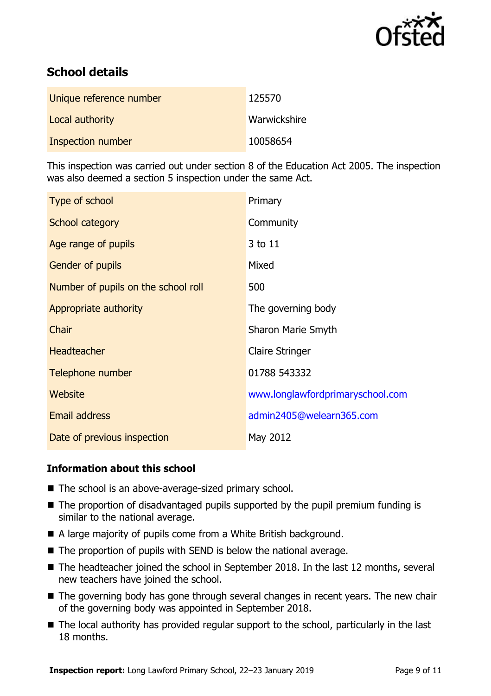

# **School details**

| Unique reference number | 125570       |
|-------------------------|--------------|
| Local authority         | Warwickshire |
| Inspection number       | 10058654     |

This inspection was carried out under section 8 of the Education Act 2005. The inspection was also deemed a section 5 inspection under the same Act.

| Type of school                      | Primary                          |
|-------------------------------------|----------------------------------|
| School category                     | Community                        |
| Age range of pupils                 | 3 to 11                          |
| <b>Gender of pupils</b>             | Mixed                            |
| Number of pupils on the school roll | 500                              |
| Appropriate authority               | The governing body               |
| Chair                               | <b>Sharon Marie Smyth</b>        |
| <b>Headteacher</b>                  | <b>Claire Stringer</b>           |
| Telephone number                    | 01788 543332                     |
| Website                             | www.longlawfordprimaryschool.com |
| Email address                       | admin2405@welearn365.com         |
| Date of previous inspection         | May 2012                         |

### **Information about this school**

- The school is an above-average-sized primary school.
- The proportion of disadvantaged pupils supported by the pupil premium funding is similar to the national average.
- A large majority of pupils come from a White British background.
- $\blacksquare$  The proportion of pupils with SEND is below the national average.
- The headteacher joined the school in September 2018. In the last 12 months, several new teachers have joined the school.
- The governing body has gone through several changes in recent years. The new chair of the governing body was appointed in September 2018.
- The local authority has provided regular support to the school, particularly in the last 18 months.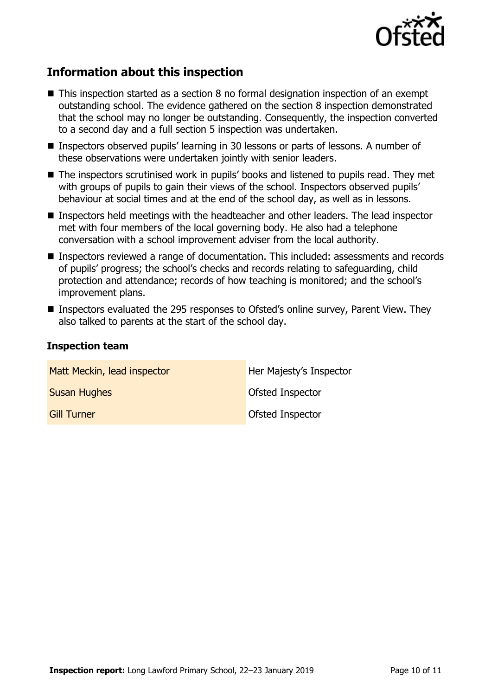![](_page_9_Picture_0.jpeg)

## **Information about this inspection**

- This inspection started as a section 8 no formal designation inspection of an exempt outstanding school. The evidence gathered on the section 8 inspection demonstrated that the school may no longer be outstanding. Consequently, the inspection converted to a second day and a full section 5 inspection was undertaken.
- Inspectors observed pupils' learning in 30 lessons or parts of lessons. A number of these observations were undertaken jointly with senior leaders.
- The inspectors scrutinised work in pupils' books and listened to pupils read. They met with groups of pupils to gain their views of the school. Inspectors observed pupils' behaviour at social times and at the end of the school day, as well as in lessons.
- Inspectors held meetings with the headteacher and other leaders. The lead inspector met with four members of the local governing body. He also had a telephone conversation with a school improvement adviser from the local authority.
- Inspectors reviewed a range of documentation. This included: assessments and records of pupils' progress; the school's checks and records relating to safeguarding, child protection and attendance; records of how teaching is monitored; and the school's improvement plans.
- Inspectors evaluated the 295 responses to Ofsted's online survey, Parent View. They also talked to parents at the start of the school day.

#### **Inspection team**

| Matt Meckin, lead inspector | Her Majesty's Inspector |
|-----------------------------|-------------------------|
| <b>Susan Hughes</b>         | Ofsted Inspector        |
| <b>Gill Turner</b>          | Ofsted Inspector        |